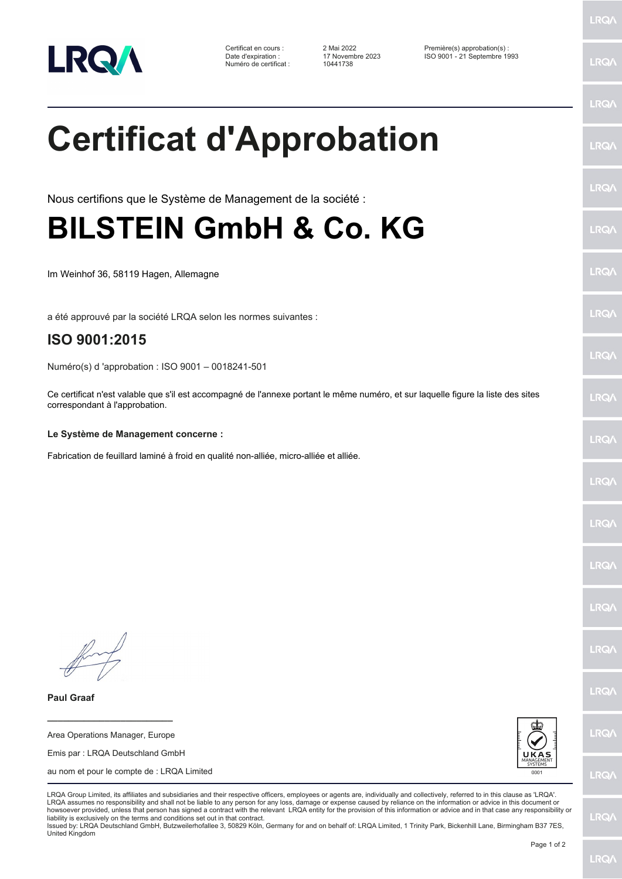

Numéro de certificat : 10441738

Certificat en cours : 2 Mai 2022 Première(s) approbation(s) : Date d'expiration : 17 Novembre 2023 ISO 9001 - 21 Septembre 1993

LRQ/

LRQ/

LRQ/

LRQ/

LRQ/

LRQ/

LRQ/

LRQ/

**LRQA** 

**LRO** 

LRQ/

LRQ/

LRQ/

LRQ/

LRQ/

**IRQA** 

LRQ/

LRQ/

**LRQ/** 

LRQ/

## **Certificat d'Approbation**

Nous certifions que le Système de Management de la société :

## **BILSTEIN GmbH & Co. KG**

Im Weinhof 36, 58119 Hagen, Allemagne

a été approuvé par la société LRQA selon les normes suivantes :

## **ISO 9001:2015**

Numéro(s) d 'approbation : ISO 9001 – 0018241-501

Ce certificat n'est valable que s'il est accompagné de l'annexe portant le même numéro, et sur laquelle figure la liste des sites correspondant à l'approbation.

## **Le Système de Management concerne :**

Fabrication de feuillard laminé à froid en qualité non-alliée, micro-alliée et alliée.

**Paul Graaf**

**\_\_\_\_\_\_\_\_\_\_\_\_\_\_\_\_\_\_\_\_\_\_\_\_** Area Operations Manager, Europe

Emis par : LRQA Deutschland GmbH

au nom et pour le compte de : LRQA Limited



LRQA Group Limited, its affiliates and subsidiaries and their respective officers, employees or agents are, individually and collectively, referred to in this clause as 'LRQA'. LRQA assumes no responsibility and shall not be liable to any person for any loss, damage or expense caused by reliance on the information or advice in this document or howsoever provided, unless that person has signed a contract with the relevant LRQA entity for the provision of this information or advice and in that case any responsibility or liability is exclusively on the terms and conditions set out in that contract.

Issued by: LRQA Deutschland GmbH, Butzweilerhofallee 3, 50829 Köln, Germany for and on behalf of: LRQA Limited, 1 Trinity Park, Bickenhill Lane, Birmingham B37 7ES, United Kingdom